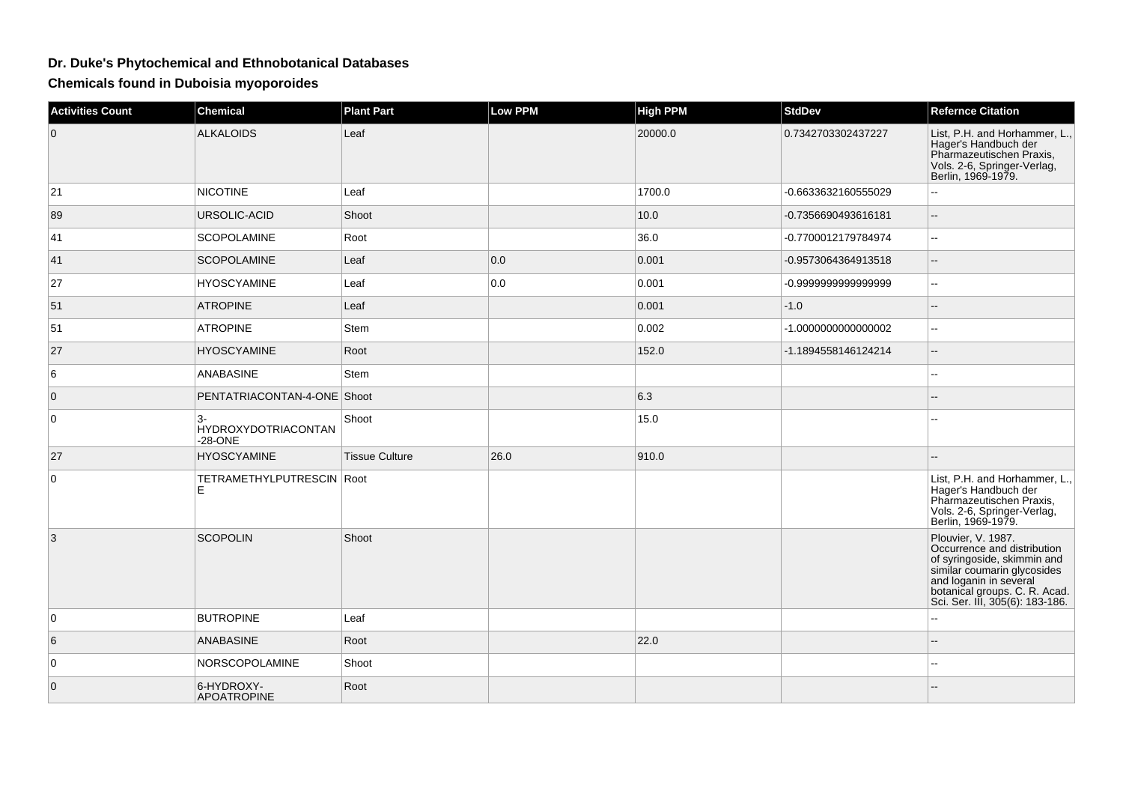## **Dr. Duke's Phytochemical and Ethnobotanical Databases**

**Chemicals found in Duboisia myoporoides**

| <b>Activities Count</b> | Chemical                                          | <b>Plant Part</b>     | Low PPM | <b>High PPM</b> | <b>StdDev</b>       | <b>Refernce Citation</b>                                                                                                                                                                                                                             |
|-------------------------|---------------------------------------------------|-----------------------|---------|-----------------|---------------------|------------------------------------------------------------------------------------------------------------------------------------------------------------------------------------------------------------------------------------------------------|
| $\overline{0}$          | <b>ALKALOIDS</b>                                  | Leaf                  |         | 20000.0         | 0.7342703302437227  | List, P.H. and Horhammer, L.,<br>Hager's Handbuch der<br>Pharmazeutischen Praxis,<br>Vols. 2-6, Springer-Verlag,<br>Berlin, 1969-1979.                                                                                                               |
| 21                      | <b>NICOTINE</b>                                   | Leaf                  |         | 1700.0          | -0.6633632160555029 | ۵.                                                                                                                                                                                                                                                   |
| 89                      | URSOLIC-ACID                                      | Shoot                 |         | 10.0            | -0.7356690493616181 | $\overline{a}$                                                                                                                                                                                                                                       |
| 41                      | <b>SCOPOLAMINE</b>                                | Root                  |         | 36.0            | -0.7700012179784974 | $- -$                                                                                                                                                                                                                                                |
| 41                      | <b>SCOPOLAMINE</b>                                | Leaf                  | 0.0     | 0.001           | -0.9573064364913518 | $\qquad \qquad -$                                                                                                                                                                                                                                    |
| 27                      | <b>HYOSCYAMINE</b>                                | Leaf                  | 0.0     | 0.001           | -0.999999999999999  | Ξ.                                                                                                                                                                                                                                                   |
| 51                      | <b>ATROPINE</b>                                   | Leaf                  |         | 0.001           | $-1.0$              | $\overline{a}$                                                                                                                                                                                                                                       |
| 51                      | <b>ATROPINE</b>                                   | Stem                  |         | 0.002           | -1.000000000000002  | $- -$                                                                                                                                                                                                                                                |
| 27                      | <b>HYOSCYAMINE</b>                                | Root                  |         | 152.0           | -1.1894558146124214 | $\overline{a}$                                                                                                                                                                                                                                       |
| 6                       | <b>ANABASINE</b>                                  | Stem                  |         |                 |                     | $\overline{\phantom{a}}$                                                                                                                                                                                                                             |
| $\overline{0}$          | PENTATRIACONTAN-4-ONE Shoot                       |                       |         | 6.3             |                     |                                                                                                                                                                                                                                                      |
| $\overline{0}$          | $3-$<br><b>HYDROXYDOTRIACONTAN</b><br>$-28 - ONE$ | Shoot                 |         | 15.0            |                     |                                                                                                                                                                                                                                                      |
| 27                      | <b>HYOSCYAMINE</b>                                | <b>Tissue Culture</b> | 26.0    | 910.0           |                     |                                                                                                                                                                                                                                                      |
| $\overline{0}$          | TETRAMETHYLPUTRESCIN Root<br>Е                    |                       |         |                 |                     | List, P.H. and Horhammer, L.,<br>Hager's Handbuch der<br>Pharmazeutischen Praxis,<br>Vols. 2-6, Springer-Verlag,<br>Berlin, 1969-1979.                                                                                                               |
| $\overline{3}$          | <b>SCOPOLIN</b>                                   | Shoot                 |         |                 |                     | Plouvier, V. 1987.<br>Occurrence and distribution<br>of syringoside, skimmin and<br>or symphosize, samilim color and logarith and logarith in several<br>and logarith in several<br>botanical groups. C. R. Acad.<br>Sci. Ser. III, 305(6): 183-186. |
| $\overline{0}$          | <b>BUTROPINE</b>                                  | Leaf                  |         |                 |                     | ۵.                                                                                                                                                                                                                                                   |
| 6                       | <b>ANABASINE</b>                                  | Root                  |         | 22.0            |                     | --                                                                                                                                                                                                                                                   |
| $\overline{0}$          | NORSCOPOLAMINE                                    | Shoot                 |         |                 |                     | $-1$                                                                                                                                                                                                                                                 |
| $\overline{0}$          | 6-HYDROXY-<br><b>APOATROPINE</b>                  | Root                  |         |                 |                     |                                                                                                                                                                                                                                                      |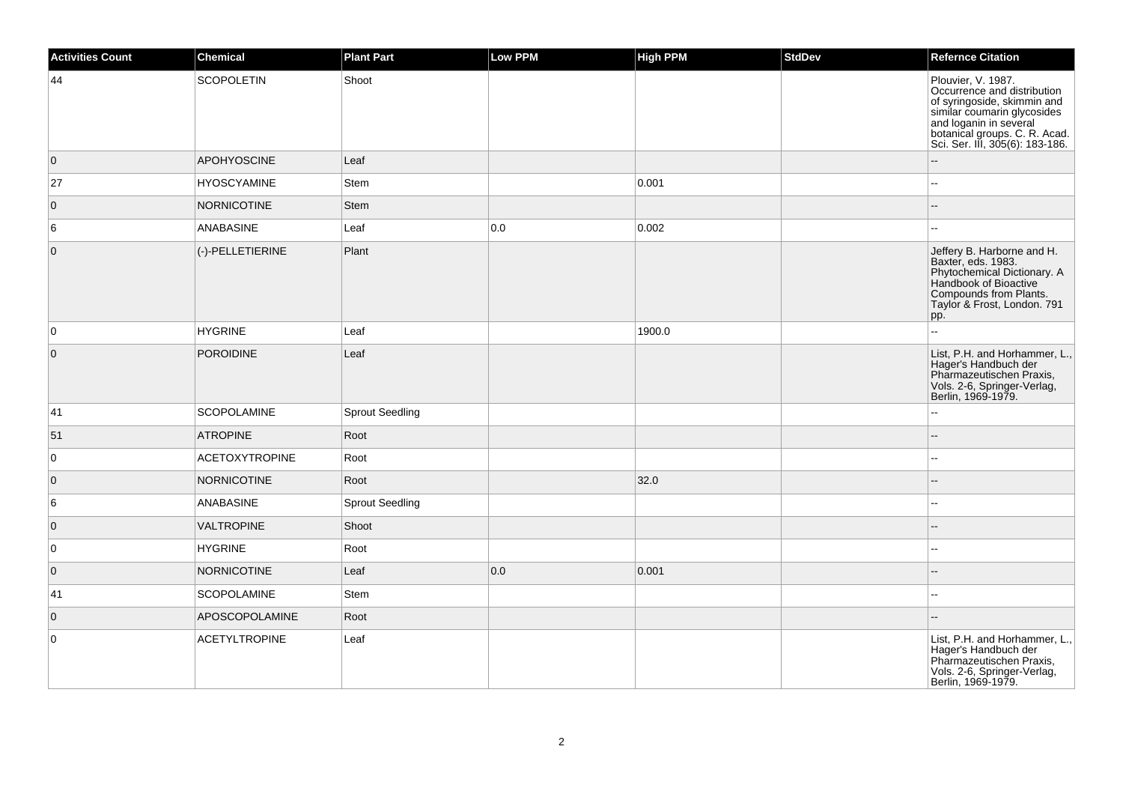| <b>Activities Count</b> | Chemical              | <b>Plant Part</b>      | Low PPM | <b>High PPM</b> | StdDev | <b>Refernce Citation</b>                                                                                                                                                                                      |
|-------------------------|-----------------------|------------------------|---------|-----------------|--------|---------------------------------------------------------------------------------------------------------------------------------------------------------------------------------------------------------------|
| 44                      | <b>SCOPOLETIN</b>     | Shoot                  |         |                 |        | Plouvier, V. 1987.<br>Occurrence and distribution<br>of syringoside, skimmin and<br>similar coumarin glycosides<br>and loganin in several<br>botanical groups. C. R. Acad.<br>Sci. Ser. III, 305(6): 183-186. |
| $\overline{0}$          | <b>APOHYOSCINE</b>    | Leaf                   |         |                 |        |                                                                                                                                                                                                               |
| 27                      | <b>HYOSCYAMINE</b>    | Stem                   |         | 0.001           |        | $\sim$                                                                                                                                                                                                        |
| $\mathbf 0$             | <b>NORNICOTINE</b>    | Stem                   |         |                 |        |                                                                                                                                                                                                               |
| 6                       | ANABASINE             | Leaf                   | 0.0     | 0.002           |        | $\sim$                                                                                                                                                                                                        |
| $\overline{0}$          | (-)-PELLETIERINE      | Plant                  |         |                 |        | Jeffery B. Harborne and H.<br>Baxter, eds. 1983.<br>Phytochemical Dictionary. A<br>Handbook of Bioactive<br>Compounds from Plants.<br>Taylor & Frost, London. 791<br> pp.                                     |
| 0                       | <b>HYGRINE</b>        | Leaf                   |         | 1900.0          |        | $\mathbf{u}$                                                                                                                                                                                                  |
| $\overline{0}$          | <b>POROIDINE</b>      | Leaf                   |         |                 |        | List, P.H. and Horhammer, L.,<br>Hager's Handbuch der<br>Pharmazeutischen Praxis,<br>Vols. 2-6, Springer-Verlag,<br>Berlin, 1969-1979.                                                                        |
| 41                      | <b>SCOPOLAMINE</b>    | <b>Sprout Seedling</b> |         |                 |        |                                                                                                                                                                                                               |
| 51                      | <b>ATROPINE</b>       | Root                   |         |                 |        |                                                                                                                                                                                                               |
| 0                       | <b>ACETOXYTROPINE</b> | Root                   |         |                 |        | $\overline{a}$                                                                                                                                                                                                |
| $\overline{0}$          | <b>NORNICOTINE</b>    | Root                   |         | 32.0            |        |                                                                                                                                                                                                               |
| 6                       | ANABASINE             | <b>Sprout Seedling</b> |         |                 |        |                                                                                                                                                                                                               |
| $\overline{0}$          | <b>VALTROPINE</b>     | Shoot                  |         |                 |        |                                                                                                                                                                                                               |
| 0                       | <b>HYGRINE</b>        | Root                   |         |                 |        | $\sim$                                                                                                                                                                                                        |
| $\overline{0}$          | <b>NORNICOTINE</b>    | Leaf                   | 0.0     | 0.001           |        |                                                                                                                                                                                                               |
| 41                      | <b>SCOPOLAMINE</b>    | Stem                   |         |                 |        |                                                                                                                                                                                                               |
| $\overline{0}$          | APOSCOPOLAMINE        | Root                   |         |                 |        |                                                                                                                                                                                                               |
| $\mathsf 0$             | <b>ACETYLTROPINE</b>  | Leaf                   |         |                 |        | List, P.H. and Horhammer, L.,<br>Hager's Handbuch der<br>Pharmazeutischen Praxis,<br>Vols. 2-6, Springer-Verlag,<br>Berlin, 1969-1979.                                                                        |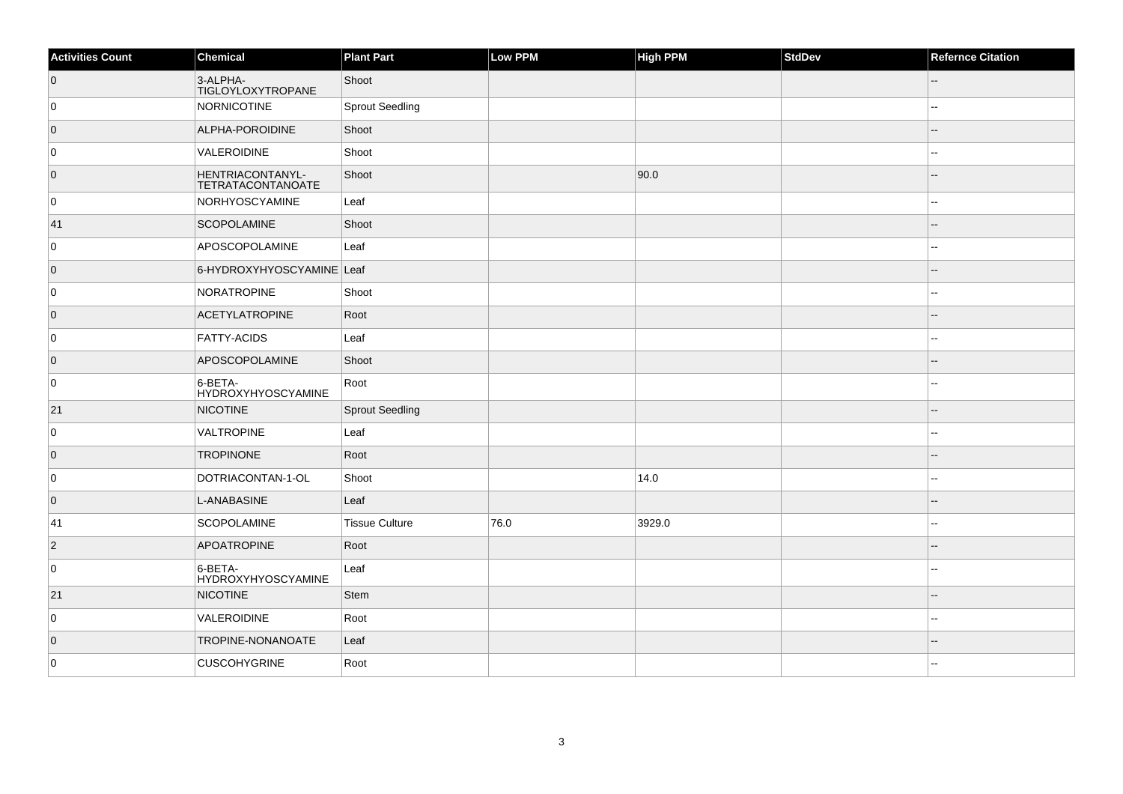| <b>Activities Count</b> | Chemical                              | <b>Plant Part</b>      | Low PPM | <b>High PPM</b> | StdDev | <b>Refernce Citation</b> |
|-------------------------|---------------------------------------|------------------------|---------|-----------------|--------|--------------------------|
| $\overline{0}$          | 3-ALPHA-<br>TIGLOYLOXYTROPANE         | Shoot                  |         |                 |        | --                       |
| 0                       | NORNICOTINE                           | <b>Sprout Seedling</b> |         |                 |        |                          |
| $\overline{0}$          | ALPHA-POROIDINE                       | Shoot                  |         |                 |        |                          |
| 0                       | VALEROIDINE                           | Shoot                  |         |                 |        |                          |
| $\overline{0}$          | HENTRIACONTANYL-<br>TETRATACONTANOATE | Shoot                  |         | 90.0            |        | --                       |
| 0                       | NORHYOSCYAMINE                        | Leaf                   |         |                 |        | $\overline{a}$           |
| 41                      | <b>SCOPOLAMINE</b>                    | Shoot                  |         |                 |        |                          |
| 0                       | APOSCOPOLAMINE                        | Leaf                   |         |                 |        |                          |
| $\overline{0}$          | 6-HYDROXYHYOSCYAMINE Leaf             |                        |         |                 |        |                          |
| 0                       | NORATROPINE                           | Shoot                  |         |                 |        |                          |
| $\overline{0}$          | <b>ACETYLATROPINE</b>                 | Root                   |         |                 |        | --                       |
| 0                       | <b>FATTY-ACIDS</b>                    | Leaf                   |         |                 |        |                          |
| $\overline{0}$          | APOSCOPOLAMINE                        | Shoot                  |         |                 |        |                          |
| 0                       | 6-BETA-<br><b>HYDROXYHYOSCYAMINE</b>  | Root                   |         |                 |        |                          |
| 21                      | <b>NICOTINE</b>                       | <b>Sprout Seedling</b> |         |                 |        |                          |
| 0                       | VALTROPINE                            | Leaf                   |         |                 |        |                          |
| $\overline{0}$          | <b>TROPINONE</b>                      | Root                   |         |                 |        |                          |
| 0                       | DOTRIACONTAN-1-OL                     | Shoot                  |         | 14.0            |        | $\overline{a}$           |
| $\overline{0}$          | L-ANABASINE                           | Leaf                   |         |                 |        |                          |
| 41                      | <b>SCOPOLAMINE</b>                    | <b>Tissue Culture</b>  | 76.0    | 3929.0          |        | $\overline{a}$           |
| $ 2\rangle$             | <b>APOATROPINE</b>                    | Root                   |         |                 |        |                          |
| 0                       | 6-BETA-<br><b>HYDROXYHYOSCYAMINE</b>  | Leaf                   |         |                 |        |                          |
| 21                      | <b>NICOTINE</b>                       | <b>Stem</b>            |         |                 |        |                          |
| 0                       | VALEROIDINE                           | Root                   |         |                 |        | $\sim$                   |
| $\overline{0}$          | <b>TROPINE-NONANOATE</b>              | Leaf                   |         |                 |        |                          |
| 0                       | <b>CUSCOHYGRINE</b>                   | Root                   |         |                 |        |                          |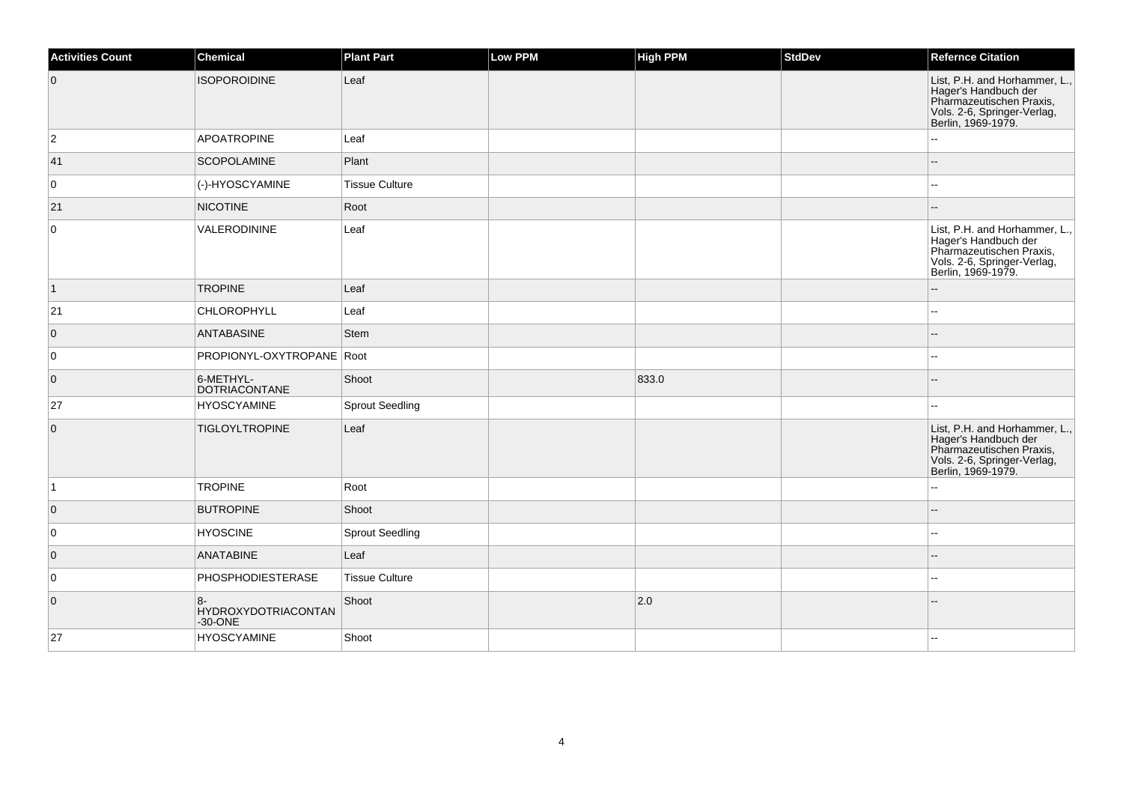| <b>Activities Count</b> | <b>Chemical</b>                            | <b>Plant Part</b>      | Low PPM | <b>High PPM</b> | StdDev | <b>Refernce Citation</b>                                                                                                               |
|-------------------------|--------------------------------------------|------------------------|---------|-----------------|--------|----------------------------------------------------------------------------------------------------------------------------------------|
| $\overline{0}$          | <b>ISOPOROIDINE</b>                        | Leaf                   |         |                 |        | List, P.H. and Horhammer, L.,<br>Eager's Handbuch der<br>Pharmazeutischen Praxis,<br>Vols. 2-6, Springer-Verlag,<br>Berlin, 1969-1979. |
| $\overline{2}$          | APOATROPINE                                | Leaf                   |         |                 |        |                                                                                                                                        |
| 41                      | <b>SCOPOLAMINE</b>                         | Plant                  |         |                 |        | $-$                                                                                                                                    |
| 0                       | (-)-HYOSCYAMINE                            | <b>Tissue Culture</b>  |         |                 |        | --                                                                                                                                     |
| 21                      | <b>NICOTINE</b>                            | Root                   |         |                 |        | --                                                                                                                                     |
| $\overline{0}$          | VALERODININE                               | Leaf                   |         |                 |        | List, P.H. and Horhammer, L.,<br>Hager's Handbuch der<br>Pharmazeutischen Praxis,<br>Vols. 2-6, Springer-Verlag,<br>Berlin, 1969-1979. |
| $\vert$ 1               | <b>TROPINE</b>                             | Leaf                   |         |                 |        | --                                                                                                                                     |
| 21                      | <b>CHLOROPHYLL</b>                         | Leaf                   |         |                 |        |                                                                                                                                        |
| $\overline{0}$          | ANTABASINE                                 | Stem                   |         |                 |        |                                                                                                                                        |
| $\overline{0}$          | PROPIONYL-OXYTROPANE Root                  |                        |         |                 |        |                                                                                                                                        |
| $\overline{0}$          | 6-METHYL-<br>DOTRIACONTANE                 | Shoot                  |         | 833.0           |        |                                                                                                                                        |
| 27                      | <b>HYOSCYAMINE</b>                         | <b>Sprout Seedling</b> |         |                 |        |                                                                                                                                        |
| $\overline{0}$          | <b>TIGLOYLTROPINE</b>                      | Leaf                   |         |                 |        | List, P.H. and Horhammer, L.,<br>Hager's Handbuch der<br>Pharmazeutischen Praxis,<br>Vols. 2-6, Springer-Verlag,<br>Berlin, 1969-1979. |
| $\overline{1}$          | <b>TROPINE</b>                             | Root                   |         |                 |        |                                                                                                                                        |
| $\overline{0}$          | <b>BUTROPINE</b>                           | Shoot                  |         |                 |        | --                                                                                                                                     |
| 0                       | <b>HYOSCINE</b>                            | <b>Sprout Seedling</b> |         |                 |        | $\overline{a}$                                                                                                                         |
| $\overline{0}$          | ANATABINE                                  | Leaf                   |         |                 |        |                                                                                                                                        |
| 0                       | PHOSPHODIESTERASE                          | <b>Tissue Culture</b>  |         |                 |        | ۵.                                                                                                                                     |
| $\overline{0}$          | $8-$<br>HYDROXYDOTRIACONTAN<br>$-30 - ONE$ | Shoot                  |         | $ 2.0\rangle$   |        |                                                                                                                                        |
| 27                      | <b>HYOSCYAMINE</b>                         | Shoot                  |         |                 |        | $\overline{a}$                                                                                                                         |